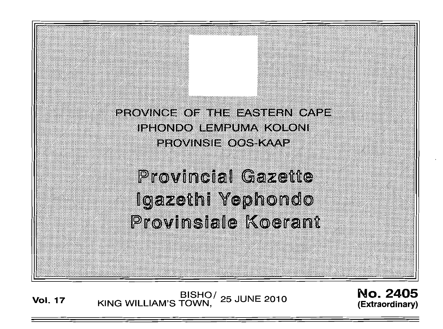PROVINCE OF THE EASTERN CAPE iphondo esmeuma koloni EFOVINSIE OOS KAAL

**Provincial Gazette** Igazethi Yephondo Provinsiale Koerant

BISHO/ 25 JUNE 2010<br>KING WILLIAM'S TOWN, **Vol. 17** 

**No. 2405** (Extraordinary)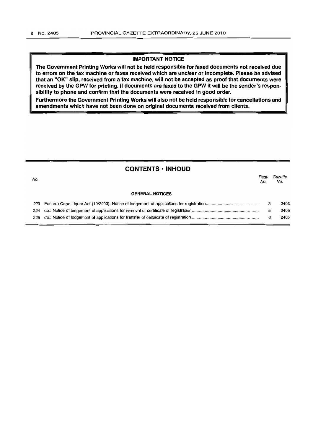# **IMPORTANT NOTICE**

**The Government Printing Works will not be held responsible for faxed documents not received due to errors on the fax machine or faxes received which are unclear or incomplete. Please be advised that an** "OK" **slip, received from a fax machine, will not be accepted as proof that documents were received by the GPW for printing. If documents are faxed to the GPW it will be the sender's responsibility to phone and confirm that the documents were received in good order.**

**Furthermore the Government Printing Works will also not be held responsible for cancellations and amendments which have not been done on original documents received from clients.**

# **CONTENTS • INHOUD**

| No. |                        | Page<br>No. | Gazette<br>No. |
|-----|------------------------|-------------|----------------|
|     | <b>GENERAL NOTICES</b> |             |                |
|     |                        | 3           | 2405           |
|     |                        | 5           | 2405           |
|     |                        | 6           | 2405           |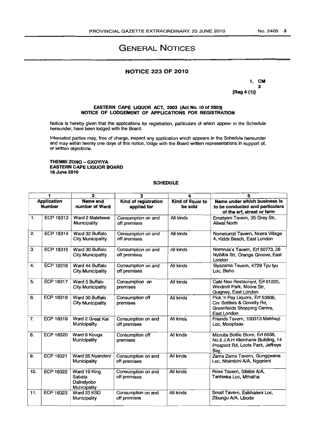# GENERAL NOTICES

### NOTICE 223 OF 2010

1. CM 3 [Reg 4 (1)]

#### EASTERN CAPE UQUOR ACT, 2003 (Act No. 10 of 2003) NOTICE OF LODGEMENT OF APPLICATIONS FOR REGISTRATION

Notice is hereby given that the applications for registration, particulars of which appear in the Schedule hereunder, have been lodged with the Board.

Interested parties may, free of charge, inspect any application which appears in the Schedule hereunder and may within twenty one days of this notice, lodge with the Board written representations in support of, or written objections.

#### THEMBI ZONO - GXOYIYA EASTERN CAPE LIQUOR BOARD 16 June 2010

#### SCHEDULE

 $\overline{\phantom{a}}$ 

| 1                                   |                  | $\overline{2}$                                       | 3                                   | 4                            | 5                                                                                                                |
|-------------------------------------|------------------|------------------------------------------------------|-------------------------------------|------------------------------|------------------------------------------------------------------------------------------------------------------|
| <b>Application</b><br><b>Number</b> |                  | <b>Name and</b><br>number of Ward                    | Kind of registration<br>applied for | Kind of liquor to<br>be sold | Name under which business is<br>to be conducted and particulars<br>of the erf, street or farm                    |
| 1.                                  | ECP 18313        | Ward 2 Maletswai<br>Municipality                     | Consumption on and<br>off premises  | All kinds                    | Ematyeni Tavern, 35 Grey Str,<br><b>Aliwal North</b>                                                             |
| 2.                                  | ECP 18314        | Ward 32 Buffalo<br>City Municipality                 | Consumption on and<br>off premises  | All kinds                    | Nomelumzi Tavern, Ncera Village<br>4, Kidds Beach, East London                                                   |
| 3.                                  | ECP 18315        | Ward 30 Buffalo<br><b>City Municipality</b>          | Consumption on and<br>off premises  | All kinds                    | Nomvula's Tavern, Erf 50773, 38<br>Nyibiba Str, Orange Groove, East<br>London                                    |
| 4.                                  | ECP 18316        | Ward 44 Buffalo<br>City Municipality                 | Consumption on and<br>off premises  | All kinds                    | Siyazama Tavern, 4729 Tyu tyu<br>Loc, Bisho                                                                      |
| 5.                                  | <b>ECP 18317</b> | Ward 5 Buffalo<br>City Municipality                  | Consumption on<br>premises          | All kinds                    | Café Neo Restaurant, Erf 61225,<br>Windmill Park, Moore Str,<br>Quigney, East London                             |
| 6.                                  | ECP 18318        | Ward 30 Buffalo<br><b>City Municipality</b>          | Consumption off<br>premises         | All kinds                    | Pick 'n Pay Liquors, Erf 53806,<br>Cnr Settlers & Clovelly Rd,<br>Greenfields Shopping Centre,<br>East London    |
| 7.                                  | ECP 18319        | Ward 2 Great Kei<br>Municipality                     | Consumption on and<br>off premises  | All kinds                    | Friends Tavern, 100313 Makhazi<br>Loc, Mooiplaas                                                                 |
| 8.                                  | ECP 18320        | Ward 8 Kouga<br>Municipality                         | Consumption off<br>premises         | All kinds                    | Microbs Bottle Store, Erf 6538,<br>No.5 J.A.H Kleinhans Building, 14<br>Prospect Rd, Loots Park, Jeffreys<br>Bay |
| 9.                                  | <b>ECP 18321</b> | Ward 26 Nyandeni<br>Municipality                     | Consumption on and<br>off premises  | All kinds                    | Zama Zama Tavern, Gungqwana<br>Loc, Ntsimbini A/A, Ngqeleni                                                      |
| 10.                                 | ECP 18322        | Ward 19 King<br>Sabata<br>Dalindyebo<br>Municipality | Consumption on and<br>off premises  | All kinds                    | Rose Tavern, Sitebe A/A,<br>Tantseka Loc, Mthatha                                                                |
| 11.                                 | ECP 18323        | Ward 23 KSD<br>Municipality                          | Consumption on and<br>off premises  | All kinds                    | Small Tavern, Esikhaleni Loc,<br>Zibungu A/A, Libode                                                             |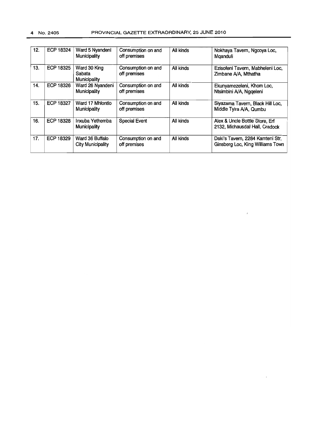| 12. | ECP 18324        | Ward 5 Nyandeni          | Consumption on and   | All kinds | Nokhaya Tavern, Ngcoya Loc,      |
|-----|------------------|--------------------------|----------------------|-----------|----------------------------------|
|     |                  | Municipality             | off premises         |           | Mganduli                         |
|     |                  |                          |                      |           |                                  |
| 13. | <b>ECP 18325</b> | Ward 30 King             | Consumption on and   | All kinds | Ezisofeni Tavern, Mabheleni Loc, |
|     |                  | Sabata                   | off premises         |           | Zimbane A/A, Mthatha             |
|     |                  | <b>Municipality</b>      |                      |           |                                  |
| 14. | <b>ECP 18326</b> | Ward 26 Nyandeni         | Consumption on and   | All kinds | Ekunyamezeleni, Khom Loc,        |
|     |                  | Municipality             | off premises         |           | Ntsimbini A/A, Ngqeleni          |
|     |                  |                          |                      |           |                                  |
| 15. | ECP 18327        | Ward 17 Mhlontlo         | Consumption on and   | All kinds | Siyazama Tavern, Black Hill Loc, |
|     |                  | Municipality             | off premises         |           | Middle Tyira A/A, Qumbu          |
|     |                  |                          |                      |           |                                  |
| 16. | <b>ECP 18328</b> | Inxuba Yethemba          | <b>Special Event</b> | All kinds | Alex & Uncle Bottle Store, Erf   |
|     |                  | Municipality             |                      |           | 2132, Michausdal Hall, Cradock   |
|     |                  |                          |                      |           |                                  |
| 17. | ECP 18329        | Ward 36 Buffalo          | Consumption on and   | All kinds | Daki's Tavern, 2284 Kamteni Str, |
|     |                  | <b>City Municipality</b> | off premises         |           | Ginsberg Loc, King Williams Town |
|     |                  |                          |                      |           |                                  |
|     |                  |                          |                      |           |                                  |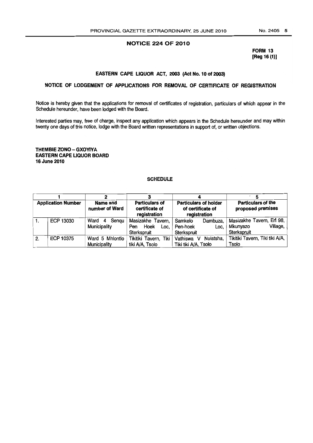## **NOTICE 224 OF 2010**

**FORM 13 [Reg 16(1)]**

# **EASTERN CAPE LIQUOR ACT, 2003 (ActNo.10 of 2003)**

# **NOTICE OF LODGEMENT OF APPLICATIONS FOR REMOVAL OF CERTIFICATE OF REGISTRATION**

Notice is hereby given that the applications for removal of certificates of registration, particulars of which appear in the Schedule hereunder, have been lodged with the Board.

Interested parties may, free of charge, inspect any application which appears in the Schedule hereunder and maywithin twenty one days of this notice, lodge with the Board written representations in support of, or written objections.

### **THEMBIE ZONO - GXOYlYA EASTERN CAPE LIQUOR BOARD 16June2010**

### **SCHEDULE**

| <b>Application Number</b> |           | Name and<br>number of Ward | <b>Particulars of holder</b><br><b>Particulars of</b><br>certificate of<br>of certificate of<br>registration<br>registration |                            | <b>Particulars of the</b><br>proposed premises |
|---------------------------|-----------|----------------------------|------------------------------------------------------------------------------------------------------------------------------|----------------------------|------------------------------------------------|
| ່ 1.                      | ECP 13030 | Ward 4<br>Sengu            | Masizakhe Tavern,                                                                                                            | Samkelo<br>Dambuza,        | Masizakhe Tavern, Erf 98,                      |
|                           |           | Municipality               | Hoek<br>Loc.<br>Pen                                                                                                          | Pen-hoek<br>Loc.           | Village,<br>Mkunyazo                           |
|                           |           |                            | Sterkspruit                                                                                                                  | Sterkspruit                | Sterkspruit                                    |
| 2.                        | ECP 10375 | Ward 5 Mhlontlo            | Tikitiki Tavern, Tiki                                                                                                        | Nolatsha.<br>Vathiswa<br>v | Tikitiki Tavern, Tiki tiki A/A,                |
|                           |           | Municipality               | tiki A/A, Tsolo                                                                                                              | Tiki tiki A/A, Tsolo       | Tsolo                                          |